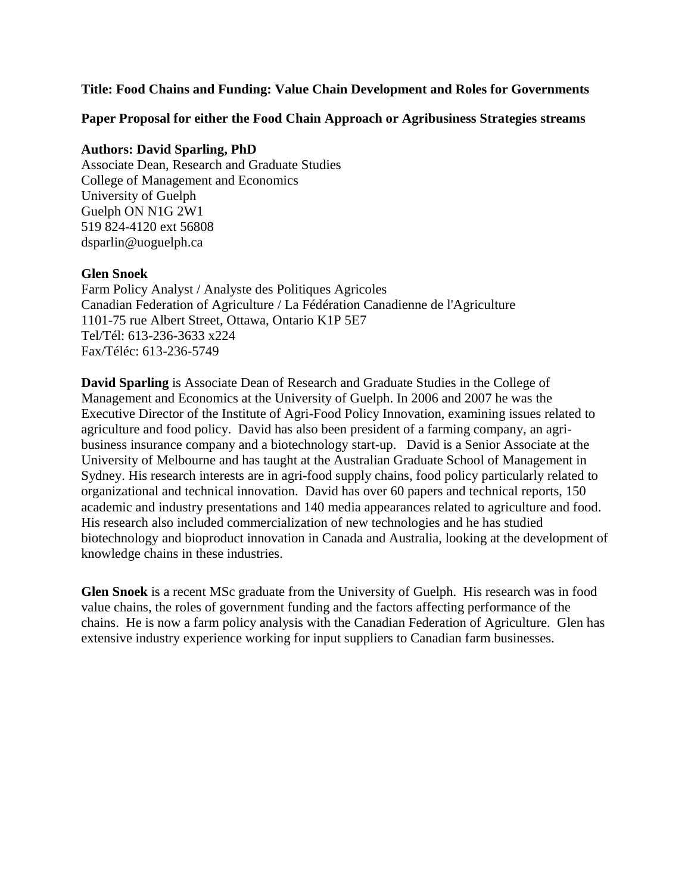#### **Title: Food Chains and Funding: Value Chain Development and Roles for Governments**

**Paper Proposal for either the Food Chain Approach or Agribusiness Strategies streams** 

#### **Authors: David Sparling, PhD**

Associate Dean, Research and Graduate Studies College of Management and Economics University of Guelph Guelph ON N1G 2W1 519 824-4120 ext 56808 dsparlin@uoguelph.ca

# **Glen Snoek**

Farm Policy Analyst / Analyste des Politiques Agricoles Canadian Federation of Agriculture / La Fédération Canadienne de l'Agriculture 1101-75 rue Albert Street, Ottawa, Ontario K1P 5E7 Tel/Tél: 613-236-3633 x224 Fax/Téléc: 613-236-5749

**David Sparling** is Associate Dean of Research and Graduate Studies in the College of Management and Economics at the University of Guelph. In 2006 and 2007 he was the Executive Director of the Institute of Agri-Food Policy Innovation, examining issues related to agriculture and food policy. David has also been president of a farming company, an agribusiness insurance company and a biotechnology start-up. David is a Senior Associate at the University of Melbourne and has taught at the Australian Graduate School of Management in Sydney. His research interests are in agri-food supply chains, food policy particularly related to organizational and technical innovation. David has over 60 papers and technical reports, 150 academic and industry presentations and 140 media appearances related to agriculture and food. His research also included commercialization of new technologies and he has studied biotechnology and bioproduct innovation in Canada and Australia, looking at the development of knowledge chains in these industries.

**Glen Snoek** is a recent MSc graduate from the University of Guelph. His research was in food value chains, the roles of government funding and the factors affecting performance of the chains. He is now a farm policy analysis with the Canadian Federation of Agriculture. Glen has extensive industry experience working for input suppliers to Canadian farm businesses.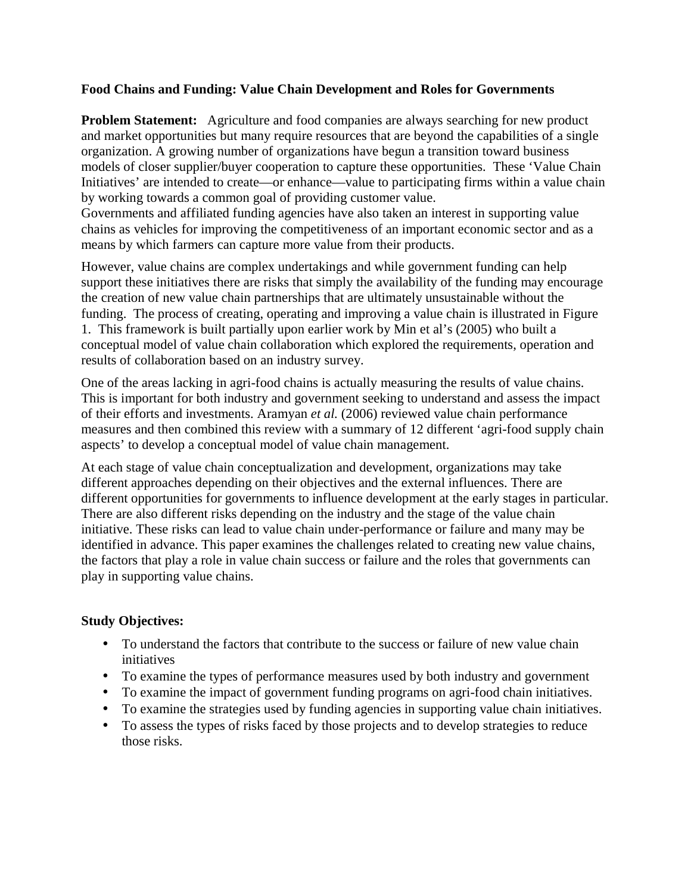# **Food Chains and Funding: Value Chain Development and Roles for Governments**

**Problem Statement:** Agriculture and food companies are always searching for new product and market opportunities but many require resources that are beyond the capabilities of a single organization. A growing number of organizations have begun a transition toward business models of closer supplier/buyer cooperation to capture these opportunities. These 'Value Chain Initiatives' are intended to create—or enhance—value to participating firms within a value chain by working towards a common goal of providing customer value.

Governments and affiliated funding agencies have also taken an interest in supporting value chains as vehicles for improving the competitiveness of an important economic sector and as a means by which farmers can capture more value from their products.

However, value chains are complex undertakings and while government funding can help support these initiatives there are risks that simply the availability of the funding may encourage the creation of new value chain partnerships that are ultimately unsustainable without the funding. The process of creating, operating and improving a value chain is illustrated in Figure 1. This framework is built partially upon earlier work by Min et al's (2005) who built a conceptual model of value chain collaboration which explored the requirements, operation and results of collaboration based on an industry survey.

One of the areas lacking in agri-food chains is actually measuring the results of value chains. This is important for both industry and government seeking to understand and assess the impact of their efforts and investments. Aramyan *et al.* (2006) reviewed value chain performance measures and then combined this review with a summary of 12 different 'agri-food supply chain aspects' to develop a conceptual model of value chain management.

At each stage of value chain conceptualization and development, organizations may take different approaches depending on their objectives and the external influences. There are different opportunities for governments to influence development at the early stages in particular. There are also different risks depending on the industry and the stage of the value chain initiative. These risks can lead to value chain under-performance or failure and many may be identified in advance. This paper examines the challenges related to creating new value chains, the factors that play a role in value chain success or failure and the roles that governments can play in supporting value chains.

#### **Study Objectives:**

- To understand the factors that contribute to the success or failure of new value chain initiatives
- To examine the types of performance measures used by both industry and government
- To examine the impact of government funding programs on agri-food chain initiatives.
- To examine the strategies used by funding agencies in supporting value chain initiatives.
- To assess the types of risks faced by those projects and to develop strategies to reduce those risks.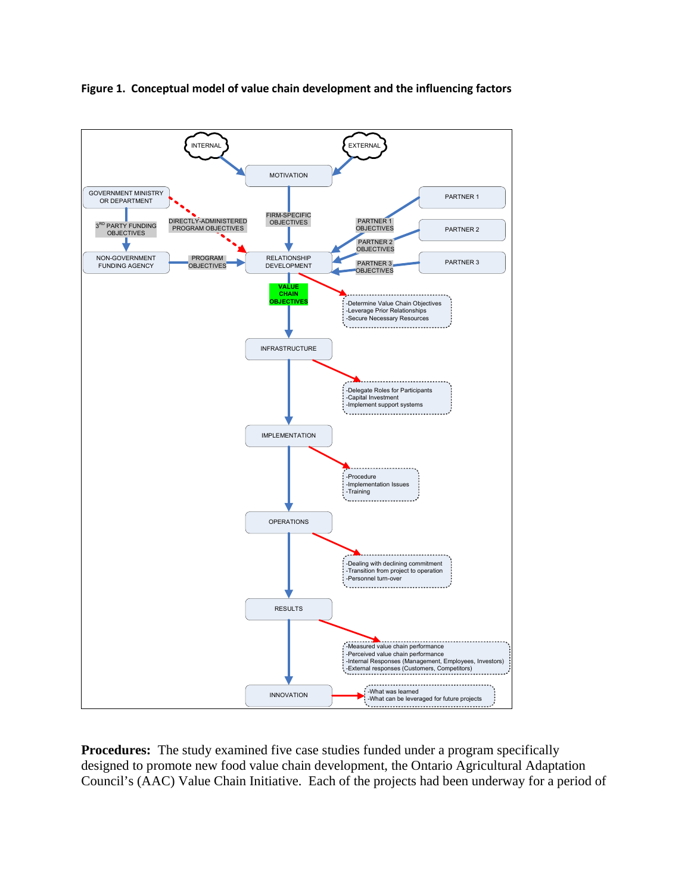

Figure 1. Conceptual model of value chain development and the influencing factors

**Procedures:** The study examined five case studies funded under a program specifically designed to promote new food value chain development, the Ontario Agricultural Adaptation Council's (AAC) Value Chain Initiative. Each of the projects had been underway for a period of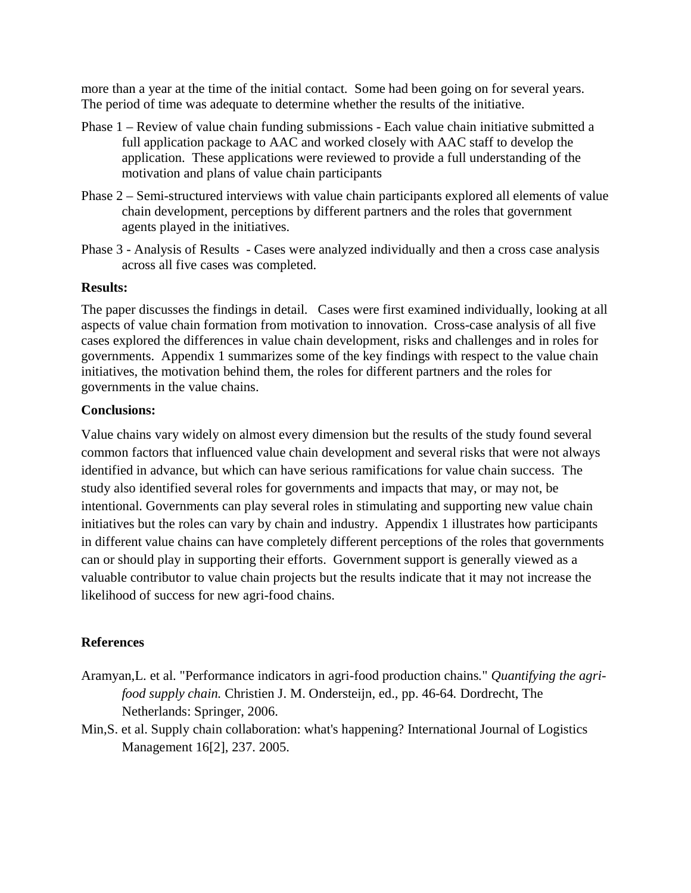more than a year at the time of the initial contact. Some had been going on for several years. The period of time was adequate to determine whether the results of the initiative.

- Phase 1 Review of value chain funding submissions Each value chain initiative submitted a full application package to AAC and worked closely with AAC staff to develop the application. These applications were reviewed to provide a full understanding of the motivation and plans of value chain participants
- Phase 2 Semi-structured interviews with value chain participants explored all elements of value chain development, perceptions by different partners and the roles that government agents played in the initiatives.
- Phase 3 Analysis of Results Cases were analyzed individually and then a cross case analysis across all five cases was completed.

#### **Results:**

The paper discusses the findings in detail. Cases were first examined individually, looking at all aspects of value chain formation from motivation to innovation. Cross-case analysis of all five cases explored the differences in value chain development, risks and challenges and in roles for governments. Appendix 1 summarizes some of the key findings with respect to the value chain initiatives, the motivation behind them, the roles for different partners and the roles for governments in the value chains.

# **Conclusions:**

Value chains vary widely on almost every dimension but the results of the study found several common factors that influenced value chain development and several risks that were not always identified in advance, but which can have serious ramifications for value chain success. The study also identified several roles for governments and impacts that may, or may not, be intentional. Governments can play several roles in stimulating and supporting new value chain initiatives but the roles can vary by chain and industry. Appendix 1 illustrates how participants in different value chains can have completely different perceptions of the roles that governments can or should play in supporting their efforts. Government support is generally viewed as a valuable contributor to value chain projects but the results indicate that it may not increase the likelihood of success for new agri-food chains.

# **References**

- Aramyan,L. et al. "Performance indicators in agri-food production chains*.*" *Quantifying the agrifood supply chain.* Christien J. M. Ondersteijn, ed.*,* pp. 46-64*.* Dordrecht, The Netherlands: Springer, 2006.
- Min,S. et al. Supply chain collaboration: what's happening? International Journal of Logistics Management 16[2], 237. 2005.